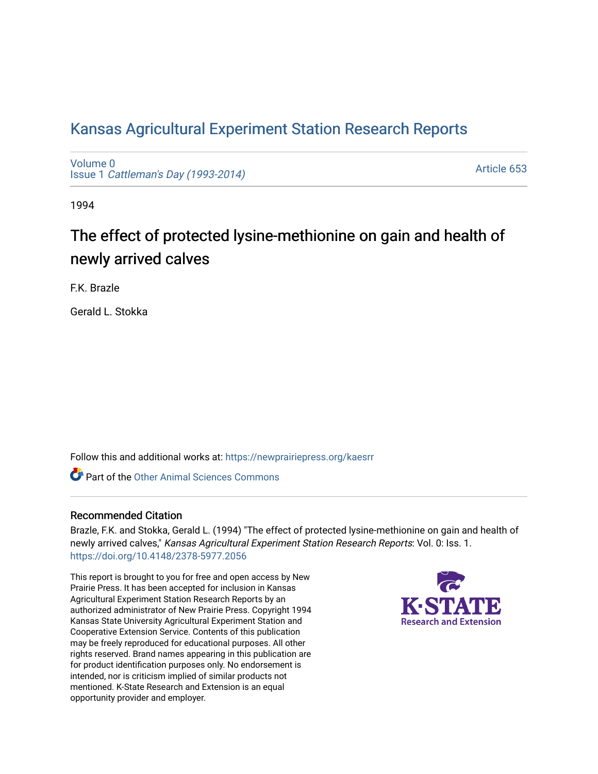## [Kansas Agricultural Experiment Station Research Reports](https://newprairiepress.org/kaesrr)

[Volume 0](https://newprairiepress.org/kaesrr/vol0) Issue 1 [Cattleman's Day \(1993-2014\)](https://newprairiepress.org/kaesrr/vol0/iss1) 

[Article 653](https://newprairiepress.org/kaesrr/vol0/iss1/653) 

1994

# The effect of protected lysine-methionine on gain and health of newly arrived calves

F.K. Brazle

Gerald L. Stokka

Follow this and additional works at: [https://newprairiepress.org/kaesrr](https://newprairiepress.org/kaesrr?utm_source=newprairiepress.org%2Fkaesrr%2Fvol0%2Fiss1%2F653&utm_medium=PDF&utm_campaign=PDFCoverPages) 

**C** Part of the [Other Animal Sciences Commons](http://network.bepress.com/hgg/discipline/82?utm_source=newprairiepress.org%2Fkaesrr%2Fvol0%2Fiss1%2F653&utm_medium=PDF&utm_campaign=PDFCoverPages)

#### Recommended Citation

Brazle, F.K. and Stokka, Gerald L. (1994) "The effect of protected lysine-methionine on gain and health of newly arrived calves," Kansas Agricultural Experiment Station Research Reports: Vol. 0: Iss. 1. <https://doi.org/10.4148/2378-5977.2056>

This report is brought to you for free and open access by New Prairie Press. It has been accepted for inclusion in Kansas Agricultural Experiment Station Research Reports by an authorized administrator of New Prairie Press. Copyright 1994 Kansas State University Agricultural Experiment Station and Cooperative Extension Service. Contents of this publication may be freely reproduced for educational purposes. All other rights reserved. Brand names appearing in this publication are for product identification purposes only. No endorsement is intended, nor is criticism implied of similar products not mentioned. K-State Research and Extension is an equal opportunity provider and employer.

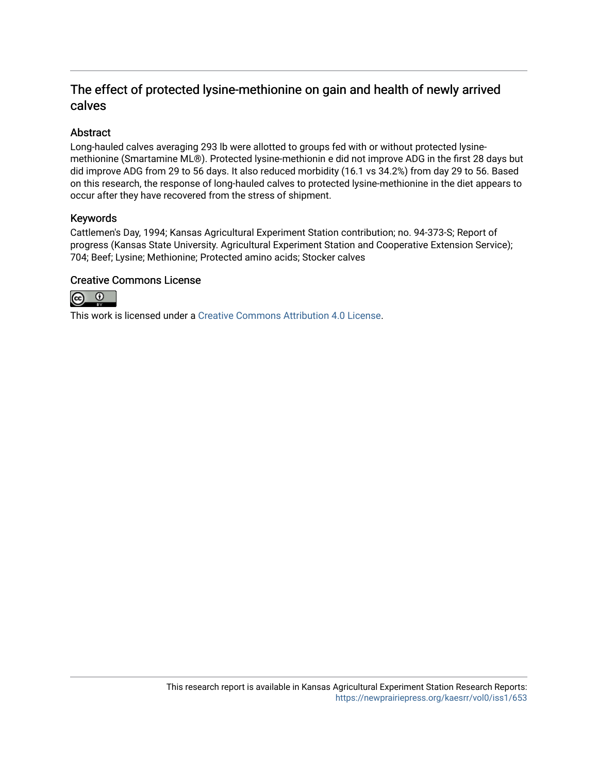### The effect of protected lysine-methionine on gain and health of newly arrived calves

#### Abstract

Long-hauled calves averaging 293 lb were allotted to groups fed with or without protected lysinemethionine (Smartamine ML®). Protected lysine-methionin e did not improve ADG in the first 28 days but did improve ADG from 29 to 56 days. It also reduced morbidity (16.1 vs 34.2%) from day 29 to 56. Based on this research, the response of long-hauled calves to protected lysine-methionine in the diet appears to occur after they have recovered from the stress of shipment.

#### Keywords

Cattlemen's Day, 1994; Kansas Agricultural Experiment Station contribution; no. 94-373-S; Report of progress (Kansas State University. Agricultural Experiment Station and Cooperative Extension Service); 704; Beef; Lysine; Methionine; Protected amino acids; Stocker calves

#### Creative Commons License



This work is licensed under a [Creative Commons Attribution 4.0 License](https://creativecommons.org/licenses/by/4.0/).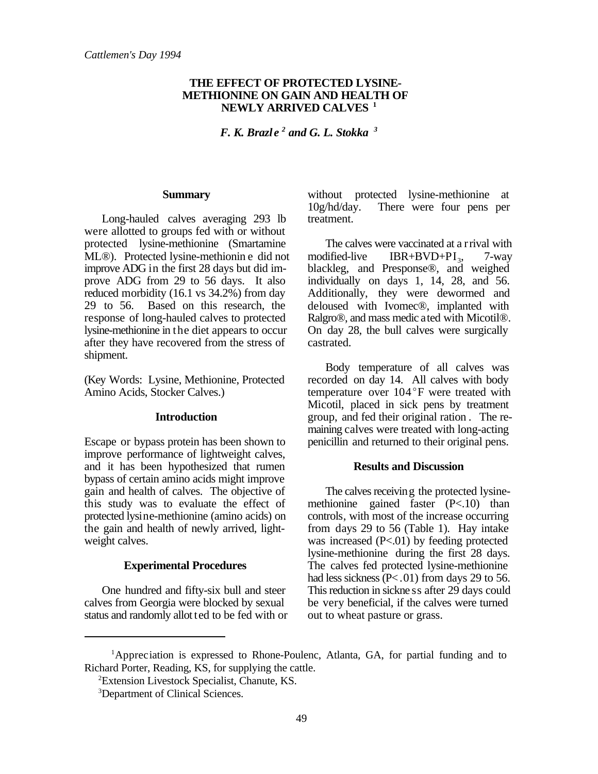#### **THE EFFECT OF PROTECTED LYSINE-METHIONINE ON GAIN AND HEALTH OF NEWLY ARRIVED CALVES <sup>1</sup>**

*F. K. Brazle<sup>2</sup> and G. L. Stokka*<sup>3</sup>

#### **Summary**

Long-hauled calves averaging 293 lb were allotted to groups fed with or without protected lysine-methionine (Smartamine ML®). Protected lysine-methionin e did not improve ADG in the first 28 days but did improve ADG from 29 to 56 days. It also reduced morbidity (16.1 vs 34.2%) from day 29 to 56. Based on this research, the response of long-hauled calves to protected lysine-methionine in the diet appears to occur after they have recovered from the stress of shipment.

(Key Words: Lysine, Methionine, Protected Amino Acids, Stocker Calves.)

#### **Introduction**

Escape or bypass protein has been shown to improve performance of lightweight calves, and it has been hypothesized that rumen bypass of certain amino acids might improve gain and health of calves. The objective of this study was to evaluate the effect of protected lysine-methionine (amino acids) on the gain and health of newly arrived, lightweight calves.

#### **Experimental Procedures**

One hundred and fifty-six bull and steer calves from Georgia were blocked by sexual status and randomly allot ted to be fed with or without protected lysine-methionine at 10g/hd/day. There were four pens per treatment.

The calves were vaccinated at a rrival with modified-live IBR+BVD+PI<sub>3</sub>, 7-way blackleg, and Presponse®, and weighed individually on days 1, 14, 28, and 56. Additionally, they were dewormed and deloused with Ivomec®, implanted with Ralgro®, and mass medic ated with Micotil®. On day 28, the bull calves were surgically castrated.

Body temperature of all calves was recorded on day 14. All calves with body temperature over 104°F were treated with Micotil, placed in sick pens by treatment group, and fed their original ration . The remaining calves were treated with long-acting penicillin and returned to their original pens.

#### **Results and Discussion**

The calves receiving the protected lysinemethionine gained faster (P<.10) than controls, with most of the increase occurring from days 29 to 56 (Table 1). Hay intake was increased  $(P<.01)$  by feeding protected lysine-methionine during the first 28 days. The calves fed protected lysine-methionine had less sickness  $(P < .01)$  from days 29 to 56. This reduction in sickne ss after 29 days could be very beneficial, if the calves were turned out to wheat pasture or grass.

 ${}^{1}$ Appreciation is expressed to Rhone-Poulenc, Atlanta, GA, for partial funding and to Richard Porter, Reading, KS, for supplying the cattle.

<sup>&</sup>lt;sup>2</sup>Extension Livestock Specialist, Chanute, KS.

<sup>&</sup>lt;sup>3</sup>Department of Clinical Sciences.